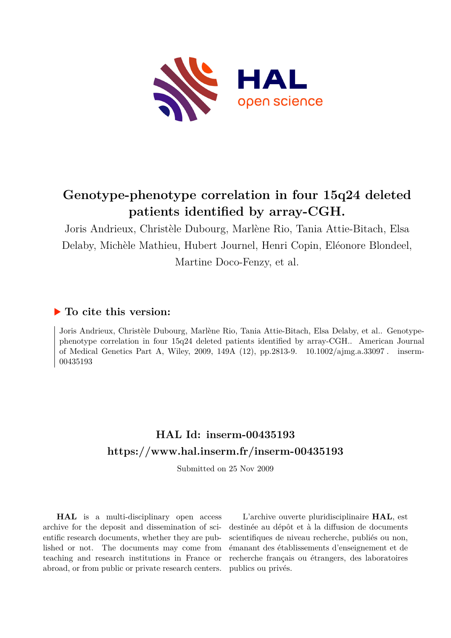

# **Genotype-phenotype correlation in four 15q24 deleted patients identified by array-CGH.**

Joris Andrieux, Christèle Dubourg, Marlène Rio, Tania Attie-Bitach, Elsa Delaby, Michèle Mathieu, Hubert Journel, Henri Copin, Eléonore Blondeel, Martine Doco-Fenzy, et al.

# **To cite this version:**

Joris Andrieux, Christèle Dubourg, Marlène Rio, Tania Attie-Bitach, Elsa Delaby, et al.. Genotypephenotype correlation in four 15q24 deleted patients identified by array-CGH.. American Journal of Medical Genetics Part A, Wiley, 2009, 149A (12), pp.2813-9. 10.1002/ajmg.a.33097. inserm-00435193ff

# **HAL Id: inserm-00435193 <https://www.hal.inserm.fr/inserm-00435193>**

Submitted on 25 Nov 2009

**HAL** is a multi-disciplinary open access archive for the deposit and dissemination of scientific research documents, whether they are published or not. The documents may come from teaching and research institutions in France or abroad, or from public or private research centers.

L'archive ouverte pluridisciplinaire **HAL**, est destinée au dépôt et à la diffusion de documents scientifiques de niveau recherche, publiés ou non, émanant des établissements d'enseignement et de recherche français ou étrangers, des laboratoires publics ou privés.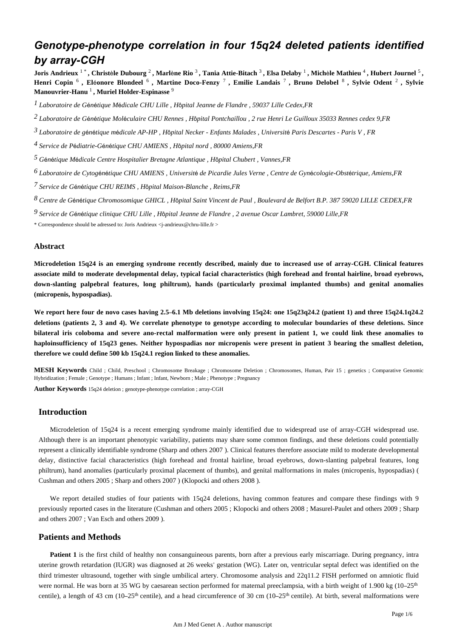# *Genotype-phenotype correlation in four 15q24 deleted patients identified by array-CGH*

**Joris Andrieux** 1 \* **, Christ**è**le Dubourg** <sup>2</sup> **, Marl**è**ne Rio** <sup>3</sup> **, Tania Attie-Bitach** <sup>3</sup> **, Elsa Delaby** <sup>1</sup> **, Mich**è**le Mathieu** <sup>4</sup> **, Hubert Journel** <sup>5</sup> **, Henri Copin** <sup>6</sup> **, El**é**onore Blondeel** <sup>6</sup> **, Martine Doco-Fenzy** <sup>7</sup> **, Emilie Landais** <sup>7</sup> **, Bruno Delobel** <sup>8</sup> **, Sylvie Odent** <sup>2</sup> **, Sylvie Manouvrier-Hanu** <sup>1</sup> **, Muriel Holder-Espinasse** <sup>9</sup>

*Laboratoire de G n tique M dicale 1* <sup>é</sup> <sup>é</sup> <sup>é</sup> *CHU Lille , H*ô*pital Jeanne de Flandre , 59037 Lille Cedex,FR*

*Laboratoire de G n tique Mol culaire 2* <sup>é</sup> <sup>é</sup> <sup>é</sup> *CHU Rennes , H*ô*pital Pontchaillou , 2 rue Henri Le Guilloux 35033 Rennes cedex 9,FR*

*Laboratoire de g n tique m dicale 3* <sup>é</sup> <sup>é</sup> <sup>é</sup> *AP-HP , H*ô*pital Necker - Enfants Malades , Universit*é *Paris Descartes - Paris V , FR*

*Service de P diatrie-G n tique 4* <sup>é</sup> <sup>é</sup> <sup>é</sup> *CHU AMIENS , H*ô*pital nord , 80000 Amiens,FR*

*G n tique M dicale 5* <sup>é</sup> <sup>é</sup> <sup>é</sup> *Centre Hospitalier Bretagne Atlantique , H*ô*pital Chubert , Vannes,FR*

*Laboratoire de Cytog n tique 6* <sup>é</sup> <sup>é</sup> *CHU AMIENS , Universit*é *de Picardie Jules Verne , Centre de Gyn*é*cologie-Obst*é*trique, Amiens,FR*

*Service de G n tique 7* <sup>é</sup> <sup>é</sup> *CHU REIMS , H*ô*pital Maison-Blanche , Reims,FR*

*Centre de G n tique Chromosomique 8* <sup>é</sup> <sup>é</sup> *GHICL , H*ô*pital Saint Vincent de Paul , Boulevard de Belfort B.P. 387 59020 LILLE CEDEX,FR*

*Service de G n tique clinique 9* <sup>é</sup> <sup>é</sup> *CHU Lille , H*ô*pital Jeanne de Flandre , 2 avenue Oscar Lambret, 59000 Lille,FR*

\* Correspondence should be adressed to: Joris Andrieux <j-andrieux@chru-lille.fr >

#### **Abstract**

**Microdeletion 15q24 is an emerging syndrome recently described, mainly due to increased use of array-CGH. Clinical features associate mild to moderate developmental delay, typical facial characteristics (high forehead and frontal hairline, broad eyebrows, down-slanting palpebral features, long philtrum), hands (particularly proximal implanted thumbs) and genital anomalies (micropenis, hypospadias).**

**We report here four de novo cases having 2.5**–**6.1 Mb deletions involving 15q24: one 15q23q24.2 (patient 1) and three 15q24.1q24.2 deletions (patients 2, 3 and 4). We correlate phenotype to genotype according to molecular boundaries of these deletions. Since bilateral iris coloboma and severe ano-rectal malformation were only present in patient 1, we could link these anomalies to haploinsufficiency of 15q23 genes. Neither hypospadias nor micropenis were present in patient 3 bearing the smallest deletion, therefore we could define 500 kb 15q24.1 region linked to these anomalies.**

**MESH Keywords** Child ; Child, Preschool ; Chromosome Breakage ; Chromosome Deletion ; Chromosomes, Human, Pair 15 ; genetics ; Comparative Genomic Hybridization ; Female ; Genotype ; Humans ; Infant ; Infant, Newborn ; Male ; Phenotype ; Pregnancy

**Author Keywords** 15q24 deletion ; genotype-phenotype correlation ; array-CGH

## **Introduction**

Microdeletion of 15q24 is a recent emerging syndrome mainly identified due to widespread use of array-CGH widespread use. Although there is an important phenotypic variability, patients may share some common findings, and these deletions could potentially represent a clinically identifiable syndrome (Sharp and others 2007 ). Clinical features therefore associate mild to moderate developmental delay, distinctive facial characteristics (high forehead and frontal hairline, broad eyebrows, down-slanting palpebral features, long philtrum), hand anomalies (particularly proximal placement of thumbs), and genital malformations in males (micropenis, hypospadias) ( Cushman and others 2005 ; Sharp and others 2007 ) (Klopocki and others 2008 ).

We report detailed studies of four patients with 15q24 deletions, having common features and compare these findings with 9 previously reported cases in the literature (Cushman and others 2005 ; Klopocki and others 2008 ; Masurel-Paulet and others 2009 ; Sharp and others 2007 ; Van Esch and others 2009 ).

#### **Patients and Methods**

**Patient 1** is the first child of healthy non consanguineous parents, born after a previous early miscarriage. During pregnancy, intra uterine growth retardation (IUGR) was diagnosed at 26 weeks' gestation (WG). Later on, ventricular septal defect was identified on the third trimester ultrasound, together with single umbilical artery. Chromosome analysis and 22q11.2 FISH performed on amniotic fluid were normal. He was born at 35 WG by caesarean section performed for maternal preeclampsia, with a birth weight of 1.900 kg (10–25<sup>th</sup>) centile), a length of 43 cm (10–25<sup>th</sup> centile), and a head circumference of 30 cm (10–25<sup>th</sup> centile). At birth, several malformations were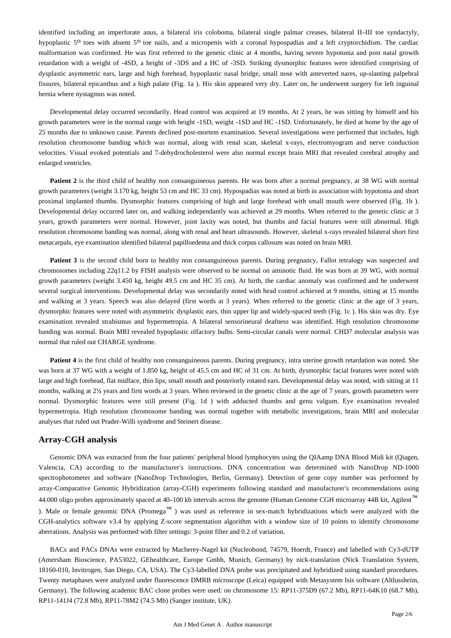identified including an imperforate anus, a bilateral iris coloboma, bilateral single palmar creases, bilateral II–III toe syndactyly, hypoplastic  $5<sup>th</sup>$  toes with absent  $5<sup>th</sup>$  toe nails, and a micropenis with a coronal hypospadias and a left cryptorchidism. The cardiac malformation was confirmed. He was first referred to the genetic clinic at 4 months, having severe hypotonia and post natal growth retardation with a weight of -4SD, a height of -3DS and a HC of -3SD. Striking dysmorphic features were identified comprising of dysplastic asymmetric ears, large and high forehead, hypoplastic nasal bridge, small nose with anteverted nares, up-slanting palpebral fissures, bilateral epicanthus and a high palate (Fig. 1a ). His skin appeared very dry. Later on, he underwent surgery for left inguinal hernia where nystagmus was noted.

Developmental delay occurred secondarily. Head control was acquired at 19 months. At 2 years, he was sitting by himself and his growth parameters were in the normal range with height -1SD, weight -1SD and HC -1SD. Unfortunately, he died at home by the age of 25 months due to unknown cause. Parents declined post-mortem examination. Several investigations were performed that includes, high resolution chromosome banding which was normal, along with renal scan, skeletal x-rays, electromyogram and nerve conduction velocities. Visual evoked potentials and 7-dehydrocholesterol were also normal except brain MRI that revealed cerebral atrophy and enlarged ventricles.

**Patient 2** is the third child of healthy non consanguineous parents. He was born after a normal pregnancy, at 38 WG with normal growth parameters (weight 3.170 kg, height 53 cm and HC 33 cm). Hypospadias was noted at birth in association with hypotonia and short proximal implanted thumbs. Dysmorphic features comprising of high and large forehead with small mouth were observed (Fig. 1b ). Developmental delay occurred later on, and walking independantly was achieved at 29 months. When referred to the genetic clinic at 3 years, growth parameters were normal. However, joint laxity was noted, but thumbs and facial features were still abnormal. High resolution chromosome banding was normal, along with renal and heart ultrasounds. However, skeletal x-rays revealed bilateral short first metacarpals, eye examination identified bilateral papilloedema and thick corpus callosum was noted on brain MRI.

Patient 3 is the second child born to healthy non consanguineous parents. During pregnancy, Fallot tetralogy was suspected and chromosomes including 22q11.2 by FISH analysis were observed to be normal on aminotic fluid. He was born at 39 WG, with normal growth parameters (weight 3.450 kg, height 49.5 cm and HC 35 cm). At birth, the cardiac anomaly was confirmed and he underwent several surgical interventions. Developmental delay was secondarily noted with head control achieved at 9 months, sitting at 15 months and walking at 3 years. Speech was also delayed (first words at 3 years). When referred to the genetic clinic at the age of 3 years, dysmorphic features were noted with asymmetric dysplastic ears, thin upper lip and widely-spaced teeth (Fig. 1c ). His skin was dry. Eye examination revealed strabismus and hypermetropia. A bilateral sensorineural deafness was identified. High resolution chromosome banding was normal. Brain MRI revealed hypoplastic olfactory bulbs. Semi-circular canals were normal. CHD7 molecular analysis was normal that ruled out CHARGE syndrome.

**Patient 4** is the first child of healthy non consanguineous parents. During pregnancy, intra uterine growth retardation was noted. She was born at 37 WG with a weight of 1.850 kg, height of 45.5 cm and HC of 31 cm. At birth, dysmorphic facial features were noted with large and high forehead, flat midface, thin lips, small mouth and posteriorly rotated ears. Developmental delay was noted, with sitting at 11 months, walking at 2½ years and first words at 3 years. When reviewed in the genetic clinic at the age of 7 years, growth parameters were normal. Dysmorphic features were still present (Fig. 1d ) with adducted thumbs and genu valgum. Eye examination revealed hypermetropia. High resolution chromosome banding was normal together with metabolic investigations, brain MRI and molecular analyses that ruled out Prader-Willi syndrome and Steinert disease.

### **Array-CGH analysis**

Genomic DNA was extracted from the four patients' peripheral blood lymphocytes using the QIAamp DNA Blood Midi kit (Qiagen, Valencia, CA) according to the manufacturer's instructions. DNA concentration was determined with NanoDrop ND-1000 spectrophotometer and software (NanoDrop Technologies, Berlin, Germany). Detection of gene copy number was performed by array-Comparative Genomic Hybridization (array-CGH) experiments following standard and manufacturer's recommendations using 44.000 oligo probes approximately spaced at 40–100 kb intervals across the genome (Human Genome CGH microarray 44B kit, Agilent™ ). Male or female genomic DNA (Promega™ ) was used as reference in sex-match hybridizations which were analyzed with the CGH-analytics software v3.4 by applying Z-score segmentation algorithm with a window size of 10 points to identify chromosome aberrations. Analysis was performed with filter settings: 3-point filter and 0.2 of variation.

BACs and PACs DNAs were extracted by Macherey-Nagel kit (Nucleobond, 74579, Hoerdt, France) and labelled with Cy3-dUTP (Amersham Bioscience, PA53022, GEhealthcare, Europe Gmbh, Munich, Germany) by nick-translation (Nick Translation System, 18160-010, Invitrogen, San Diego, CA, USA). The Cy3-labelled DNA probe was precipitated and hybridized using standard procedures. Twenty metaphases were analyzed under fluorescence DMRB microscope (Leica) equipped with Metasystem Isis software (Altlussheim, Germany). The following academic BAC clone probes were used: on chromosome 15: RP11-375D9 (67.2 Mb), RP11-64K10 (68.7 Mb), RP11-141J4 (72.8 Mb), RP11-78M2 (74.5 Mb) (Sanger institute, UK).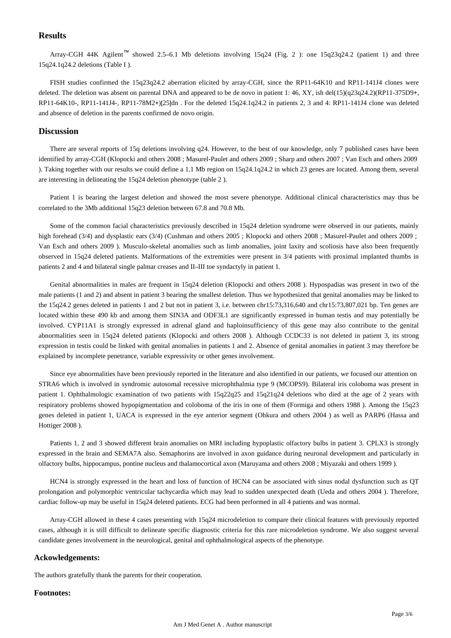# **Results**

Array-CGH 44K Agilent™ showed 2.5–6.1 Mb deletions involving 15q24 (Fig. 2 ): one 15q23q24.2 (patient 1) and three 15q24.1q24.2 deletions (Table I ).

FISH studies confirmed the 15q23q24.2 aberration elicited by array-CGH, since the RP11-64K10 and RP11-141J4 clones were deleted. The deletion was absent on parental DNA and appeared to be de novo in patient 1: 46, XY, ish del(15)(q23q24.2)(RP11-375D9+, RP11-64K10-, RP11-141J4-, RP11-78M2+)[25]dn . For the deleted 15q24.1q24.2 in patients 2, 3 and 4: RP11-141J4 clone was deleted and absence of deletion in the parents confirmed de novo origin.

## **Discussion**

There are several reports of 15q deletions involving q24. However, to the best of our knowledge, only 7 published cases have been identified by array-CGH (Klopocki and others 2008 ; Masurel-Paulet and others 2009 ; Sharp and others 2007 ; Van Esch and others 2009 ). Taking together with our results we could define a 1.1 Mb region on 15q24.1q24.2 in which 23 genes are located. Among them, several are interesting in delineating the 15q24 deletion phenotype (table 2 ).

Patient 1 is bearing the largest deletion and showed the most severe phenotype. Additional clinical characteristics may thus be correlated to the 3Mb additional 15q23 deletion between 67.8 and 70.8 Mb.

Some of the common facial characteristics previously described in 15q24 deletion syndrome were observed in our patients, mainly high forehead (3/4) and dysplastic ears (3/4) (Cushman and others 2005 ; Klopocki and others 2008 ; Masurel-Paulet and others 2009 ; Van Esch and others 2009 ). Musculo-skeletal anomalies such as limb anomalies, joint laxity and scoliosis have also been frequently observed in 15q24 deleted patients. Malformations of the extremities were present in 3/4 patients with proximal implanted thumbs in patients 2 and 4 and bilateral single palmar creases and II–III toe syndactyly in patient 1.

Genital abnormalities in males are frequent in 15q24 deletion (Klopocki and others 2008 ). Hypospadias was present in two of the male patients (1 and 2) and absent in patient 3 bearing the smallest deletion. Thus we hypothesized that genital anomalies may be linked to the 15q24.2 genes deleted in patients 1 and 2 but not in patient 3, i.e. between chr15:73,316,640 and chr15:73,807,021 bp. Ten genes are located within these 490 kb and among them SIN3A and ODF3L1 are significantly expressed in human testis and may potentially be involved. CYP11A1 is strongly expressed in adrenal gland and haploinsufficiency of this gene may also contribute to the genital abnormalities seen in 15q24 deleted patients (Klopocki and others 2008 ). Although CCDC33 is not deleted in patient 3, its strong expression in testis could be linked with genital anomalies in patients 1 and 2. Absence of genital anomalies in patient 3 may therefore be explained by incomplete penetrance, variable expressivity or other genes involvement.

Since eye abnormalities have been previously reported in the literature and also identified in our patients, we focused our attention on STRA6 which is involved in syndromic autosomal recessive microphthalmia type 9 (MCOPS9). Bilateral iris coloboma was present in patient 1. Ophthalmologic examination of two patients with 15q22q25 and 15q21q24 deletions who died at the age of 2 years with respiratory problems showed hypopigmentation and coloboma of the iris in one of them (Formiga and others 1988 ). Among the 15q23 genes deleted in patient 1, UACA is expressed in the eye anterior segment (Ohkura and others 2004 ) as well as PARP6 (Hassa and Hottiger 2008 ).

Patients 1, 2 and 3 showed different brain anomalies on MRI including hypoplastic olfactory bulbs in patient 3. CPLX3 is strongly expressed in the brain and SEMA7A also. Semaphorins are involved in axon guidance during neuronal development and particularly in olfactory bulbs, hippocampus, pontine nucleus and thalamocortical axon (Maruyama and others 2008 ; Miyazaki and others 1999 ).

HCN4 is strongly expressed in the heart and loss of function of HCN4 can be associated with sinus nodal dysfunction such as QT prolongation and polymorphic ventricular tachycardia which may lead to sudden unexpected death (Ueda and others 2004 ). Therefore, cardiac follow-up may be useful in 15q24 deleted patients. ECG had been performed in all 4 patients and was normal.

Array-CGH allowed in these 4 cases presenting with 15q24 microdeletion to compare their clinical features with previously reported cases, although it is still difficult to delineate specific diagnostic criteria for this rare microdeletion syndrome. We also suggest several candidate genes involvement in the neurological, genital and ophthalmological aspects of the phenotype.

### **Ackowledgements:**

The authors gratefully thank the parents for their cooperation.

#### **Footnotes:**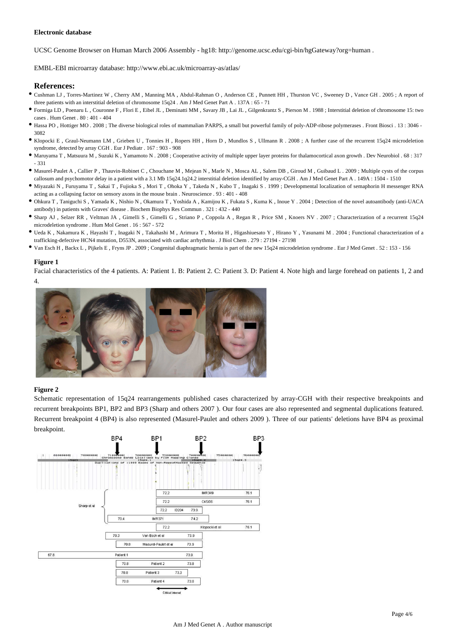#### **Electronic database**

UCSC Genome Browser on Human March 2006 Assembly - hg18: http://genome.ucsc.edu/cgi-bin/hgGateway?org=human .

EMBL-EBI microarray database: http://www.ebi.ac.uk/microarray-as/atlas/

#### **References:**

- Cushman LJ , Torres-Martinez W , Cherry AM , Manning MA , Abdul-Rahman O , Anderson CE , Punnett HH , Thurston VC , Sweeney D , Vance GH . 2005 ; A report of three patients with an interstitial deletion of chromosome 15q24 . Am J Med Genet Part A . 137A : 65 - 71
- Formiga LD , Poenaru L , Couronne F , Flori E , Eibel JL , Deminatti MM , Savary JB , Lai JL , Gilgenkrantz S , Pierson M . 1988 ; Interstitial deletion of chromosome 15: two cases  $\,$  Hum Genet  $\,$  80  $\cdot$  401 - 404
- Hassa PO , Hottiger MO . 2008 ; The diverse biological roles of mammalian PARPS, a small but powerful family of poly-ADP-ribose polymerases . Front Biosci . 13 : 3046 3082
- Klopocki E , Graul-Neumann LM , Grieben U , Tonnies H , Ropers HH , Horn D , Mundlos S , Ullmann R . 2008 ; A further case of the recurrent 15q24 microdeletion syndrome, detected by array CGH . Eur J Pediatr . 167 : 903 - 908
- Maruyama T , Matsuura M , Suzuki K , Yamamoto N . 2008 ; Cooperative activity of multiple upper layer proteins for thalamocortical axon growth . Dev Neurobiol . 68 : 317 - 331
- Masurel-Paulet A , Callier P , Thauvin-Robinet C , Chouchane M , Mejean N , Marle N , Mosca AL , Salem DB , Giroud M , Guibaud L . 2009 ; Multiple cysts of the corpus callosum and psychomotor delay in a patient with a 3.1 Mb 15q24.1q24.2 interstitial deletion identified by array-CGH . Am J Med Genet Part A . 149A : 1504 - 1510
- Miyazaki N , Furuyama T , Sakai T , Fujioka S , Mori T , Ohoka Y , Takeda N , Kubo T , Inagaki S . 1999 ; Developmental localization of semaphorin H messenger RNA acting as a collapsing factor on sensory axons in the mouse brain . Neuroscience . 93 : 401 - 408
- Ohkura T , Taniguchi S , Yamada K , Nishio N , Okamura T , Yoshida A , Kamijou K , Fukata S , Kuma K , Inoue Y . 2004 ; Detection of the novel autoantibody (anti-UACA antibody) in patients with Graves' disease . Biochem Biophys Res Commun . 321 : 432 - 440
- Sharp AJ , Selzer RR , Veltman JA , Gimelli S , Gimelli G , Striano P , Coppola A , Regan R , Price SM , Knoers NV . 2007 ; Characterization of a recurrent 15q24 microdeletion syndrome . Hum Mol Genet . 16 : 567 - 572
- Ueda K , Nakamura K , Hayashi T , Inagaki N , Takahashi M , Arimura T , Morita H , Higashiuesato Y , Hirano Y , Yasunami M . 2004 ; Functional characterization of a trafficking-defective HCN4 mutation, D553N, associated with cardiac arrhythmia . J Biol Chem . 279 : 27194 - 27198
- Van Esch H , Backx L , Pijkels E , Fryns JP . 2009 ; Congenital diaphragmatic hernia is part of the new 15q24 microdeletion syndrome . Eur J Med Genet . 52 : 153 156

#### **Figure 1**

Facial characteristics of the 4 patients. A: Patient 1. B: Patient 2. C: Patient 3. D: Patient 4. Note high and large forehead on patients 1, 2 and 4.



#### **Figure 2**

Schematic representation of 15q24 rearrangements published cases characterized by array-CGH with their respective breakpoints and recurrent breakpoints BP1, BP2 and BP3 (Sharp and others 2007 ). Our four cases are also represented and segmental duplications featured. Recurrent breakpoint 4 (BP4) is also represented (Masurel-Paulet and others 2009 ). Three of our patients' deletions have BP4 as proximal breakpoint.

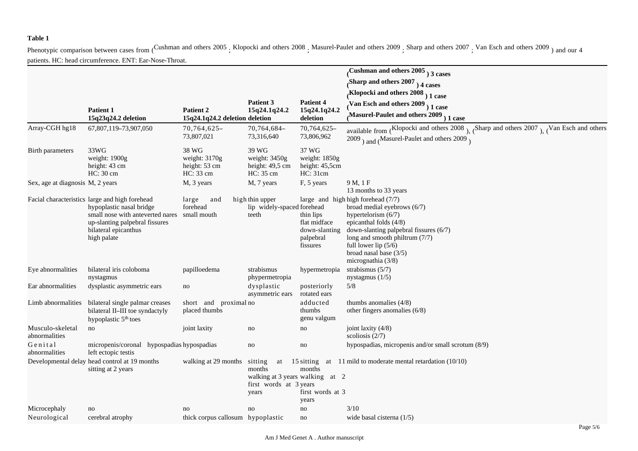# **Table 1**

Phenotypic comparison between cases from (Cushman and others 2005, Klopocki and others 2008, Masurel-Paulet and others 2009, Sharp and others 2007, Van Esch and others 2009 and our 4 patients. HC: head circumference. ENT: Ear-Nose-Throat.

|                                   |                                                                                                                                                                                                     |                                                      |                                                                                               |                                                                     | Cushman and others $2005$ <sub>)</sub> 3 cases                                                                                                                                                                                                                                     |
|-----------------------------------|-----------------------------------------------------------------------------------------------------------------------------------------------------------------------------------------------------|------------------------------------------------------|-----------------------------------------------------------------------------------------------|---------------------------------------------------------------------|------------------------------------------------------------------------------------------------------------------------------------------------------------------------------------------------------------------------------------------------------------------------------------|
|                                   |                                                                                                                                                                                                     |                                                      |                                                                                               |                                                                     | Sharp and others $2007$ ) 4 cases                                                                                                                                                                                                                                                  |
|                                   |                                                                                                                                                                                                     |                                                      |                                                                                               |                                                                     | Klopocki and others $2008$ <sub>)</sub> 1 case                                                                                                                                                                                                                                     |
|                                   |                                                                                                                                                                                                     |                                                      | Patient 3                                                                                     | <b>Patient 4</b>                                                    | Van Esch and others $2009$ <sub>)</sub> 1 case                                                                                                                                                                                                                                     |
|                                   | <b>Patient 1</b><br>15q23q24.2 deletion                                                                                                                                                             | Patient 2<br>15q24.1q24.2 deletion deletion          | 15q24.1q24.2                                                                                  | 15q24.1q24.2<br>deletion                                            | Masurel-Paulet and others $2009$ <sub>)</sub> 1 case                                                                                                                                                                                                                               |
| Array-CGH hg18                    | 67,807,119-73,907,050                                                                                                                                                                               | 70,764,625-<br>73,807,021                            | 70,764,684-<br>73,316,640                                                                     | 70,764,625-<br>73,806,962                                           | available from (Klopocki and others 2008), (Sharp and others 2007), (Van Esch and others<br>$2009$ <sub>)</sub> and (Masurel-Paulet and others 2009)                                                                                                                               |
| Birth parameters                  | 33WG<br>weight: 1900g<br>height: 43 cm<br>HC: 30 cm                                                                                                                                                 | 38 WG<br>weight: 3170g<br>height: 53 cm<br>HC: 33 cm | 39 WG<br>weight: 3450g<br>height: 49,5 cm<br>HC: 35 cm                                        | 37 WG<br>weight: 1850g<br>height: 45,5cm<br>HC: 31cm                |                                                                                                                                                                                                                                                                                    |
| Sex, age at diagnosis M, 2 years  |                                                                                                                                                                                                     | M, 3 years                                           | M, 7 years                                                                                    | F, 5 years                                                          | 9M, 1F<br>13 months to 33 years                                                                                                                                                                                                                                                    |
|                                   | Facial characteristics large and high forehead<br>hypoplastic nasal bridge<br>small nose with anteverted nares small mouth<br>up-slanting palpebral fissures<br>bilateral epicanthus<br>high palate | large<br>and<br>forehead                             | high thin upper<br>lip widely-spaced forehead<br>teeth                                        | thin lips<br>flat midface<br>down-slanting<br>palpebral<br>fissures | large and high high forehead (7/7)<br>broad medial eyebrows (6/7)<br>hypertelorism $(6/7)$<br>epicanthal folds $(4/8)$<br>down-slanting palpebral fissures $(6/7)$<br>long and smooth philtrum (7/7)<br>full lower lip $(5/6)$<br>broad nasal base $(3/5)$<br>micrognathia $(3/8)$ |
| Eye abnormalities                 | bilateral iris coloboma<br>nystagmus                                                                                                                                                                | papilloedema                                         | strabismus<br>phypermetropia                                                                  | hypermetropia                                                       | strabismus $(5/7)$<br>nystagmus $(1/5)$                                                                                                                                                                                                                                            |
| Ear abnormalities                 | dysplastic asymmetric ears                                                                                                                                                                          | no                                                   | dysplastic<br>asymmetric ears                                                                 | posteriorly<br>rotated ears                                         | 5/8                                                                                                                                                                                                                                                                                |
| Limb abnormalities                | bilateral single palmar creases<br>bilateral II-III toe syndactyly<br>hypoplastic 5 <sup>th</sup> toes                                                                                              | short and proximal no<br>placed thumbs               |                                                                                               | adducted<br>thumbs<br>genu valgum                                   | thumbs anomalies $(4/8)$<br>other fingers anomalies (6/8)                                                                                                                                                                                                                          |
| Musculo-skeletal<br>abnormalities | no                                                                                                                                                                                                  | joint laxity                                         | no                                                                                            | no                                                                  | joint laxity $(4/8)$<br>scoliosis $(2/7)$                                                                                                                                                                                                                                          |
| Genital<br>abnormalities          | micropenis/coronal hypospadias hypospadias<br>left ectopic testis                                                                                                                                   |                                                      | no                                                                                            | no                                                                  | hypospadias, micropenis and/or small scrotum (8/9)                                                                                                                                                                                                                                 |
|                                   | Developmental delay head control at 19 months<br>sitting at 2 years                                                                                                                                 | walking at 29 months                                 | sitting<br>at<br>months<br>walking at 3 years walking at 2<br>first words at 3 years<br>years | months<br>first words at 3<br>years                                 | 15 sitting at 11 mild to moderate mental retardation $(10/10)$                                                                                                                                                                                                                     |
| Microcephaly                      | no                                                                                                                                                                                                  | no                                                   | no                                                                                            | no                                                                  | 3/10                                                                                                                                                                                                                                                                               |
| Neurological                      | cerebral atrophy                                                                                                                                                                                    | thick corpus callosum hypoplastic                    |                                                                                               | no                                                                  | wide basal cisterna $(1/5)$                                                                                                                                                                                                                                                        |